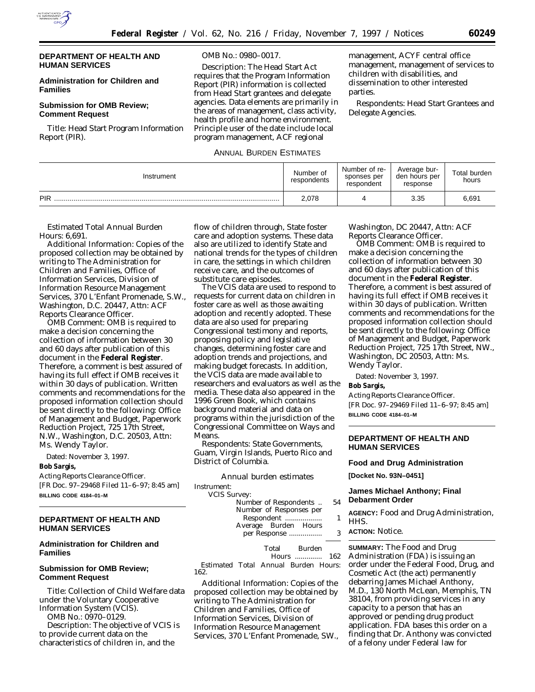

# **DEPARTMENT OF HEALTH AND HUMAN SERVICES**

# **Administration for Children and Families**

# **Submission for OMB Review; Comment Request**

*Title:* Head Start Program Information Report (PIR).

### *OMB No.:* 0980–0017.

*Description:* The Head Start Act requires that the Program Information Report (PIR) information is collected from Head Start grantees and delegate agencies. Data elements are primarily in the areas of management, class activity, health profile and home environment. Principle user of the date include local program management, ACF regional

# ANNUAL BURDEN ESTIMATES

management, ACYF central office management, management of services to children with disabilities, and dissemination to other interested parties.

*Respondents:* Head Start Grantees and Delegate Agencies.

| Instrument | Number of<br>respondents | Number of re-<br>sponses per<br>respondent | Average bur-<br>den hours per<br>response | Total burden<br>hours |
|------------|--------------------------|--------------------------------------------|-------------------------------------------|-----------------------|
| PIR        | 2,078                    |                                            | 3.35                                      | 6,691                 |

## *Estimated Total Annual Burden Hours:* 6,691.

*Additional Information:* Copies of the proposed collection may be obtained by writing to The Administration for Children and Families, Office of Information Services, Division of Information Resource Management Services, 370 L'Enfant Promenade, S.W., Washington, D.C. 20447, Attn: ACF Reports Clearance Officer.

*OMB Comment:* OMB is required to make a decision concerning the collection of information between 30 and 60 days after publication of this document in the **Federal Register**. Therefore, a comment is best assured of having its full effect if OMB receives it within 30 days of publication. Written comments and recommendations for the proposed information collection should be sent directly to the following: Office of Management and Budget, Paperwork Reduction Project, 725 17th Street, N.W., Washington, D.C. 20503, Attn: Ms. Wendy Taylor.

Dated: November 3, 1997.

# **Bob Sargis,**

*Acting Reports Clearance Officer.* [FR Doc. 97–29468 Filed 11–6–97; 8:45 am] **BILLING CODE 4184–01–M**

# **DEPARTMENT OF HEALTH AND HUMAN SERVICES**

# **Administration for Children and Families**

## **Submission for OMB Review; Comment Request**

*Title:* Collection of Child Welfare data under the Voluntary Cooperative Information System (VCIS).

*OMB No.:* 0970–0129.

*Description:* The objective of VCIS is to provide current data on the characteristics of children in, and the

flow of children through, State foster care and adoption systems. These data also are utilized to identify State and national trends for the types of children in care, the settings in which children receive care, and the outcomes of substitute care episodes.

The VCIS data are used to respond to requests for current data on children in foster care as well as those awaiting adoption and recently adopted. These data are also used for preparing Congressional testimony and reports, proposing policy and legislative changes, determining foster care and adoption trends and projections, and making budget forecasts. In addition, the VCIS data are made available to researchers and evaluators as well as the media. These data also appeared in the 1996 Green Book, which contains background material and data on programs within the jurisdiction of the Congressional Committee on Ways and **Means** 

*Respondents:* State Governments, Guam, Virgin Islands, Puerto Rico and District of Columbia.

*Annual burden estimates*

Instrument: **VCIS** 

| ь эш чеу.               |    |
|-------------------------|----|
| Number of Respondents   | 54 |
| Number of Responses per |    |
| Respondent              | 1  |
| Average Burden Hours    |    |
| per Response            | 3  |
|                         |    |

Total Burden Hours .............. 162 *Estimated Total Annual Burden Hours:* 162.

*Additional Information:* Copies of the proposed collection may be obtained by writing to The Administration for Children and Families, Office of Information Services, Division of Information Resource Management Services, 370 L'Enfant Promenade, SW., Washington, DC 20447, Attn: ACF Reports Clearance Officer.

*OMB Comment:* OMB is required to make a decision concerning the collection of information between 30 and 60 days after publication of this document in the **Federal Register**. Therefore, a comment is best assured of having its full effect if OMB receives it within 30 days of publication. Written comments and recommendations for the proposed information collection should be sent directly to the following: Office of Management and Budget, Paperwork Reduction Project, 725 17th Street, NW., Washington, DC 20503, Attn: Ms. Wendy Taylor.

Dated: November 3, 1997.

### **Bob Sargis,**

*Acting Reports Clearance Officer.* [FR Doc. 97–29469 Filed 11–6–97; 8:45 am] **BILLING CODE 4184–01–M**

# **DEPARTMENT OF HEALTH AND HUMAN SERVICES**

### **Food and Drug Administration**

**[Docket No. 93N–0451]**

# **James Michael Anthony; Final Debarment Order**

**AGENCY:** Food and Drug Administration, HHS.

**ACTION:** Notice.

**SUMMARY:** The Food and Drug Administration (FDA) is issuing an order under the Federal Food, Drug, and Cosmetic Act (the act) permanently debarring James Michael Anthony, M.D., 130 North McLean, Memphis, TN 38104, from providing services in any capacity to a person that has an approved or pending drug product application. FDA bases this order on a finding that Dr. Anthony was convicted of a felony under Federal law for